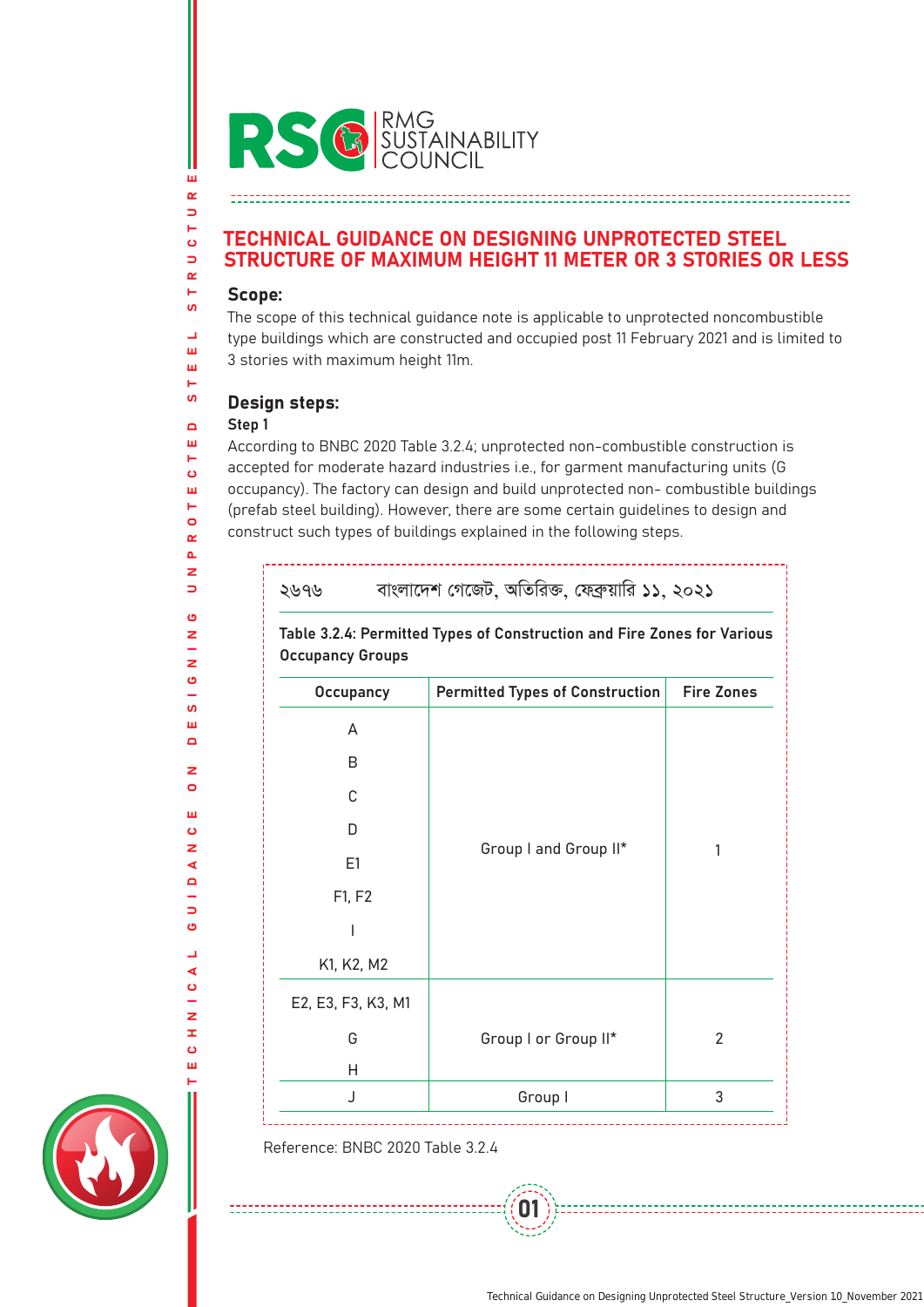

# TECHNICAL GUIDANCE ON DESIGNING UNPROTECTED STEEL STRUCTURE OF MAXIMUM HEIGHT 11 METER OR 3 STORIES OR LESS

## Scope:

ш  $\alpha$ 

 $\Rightarrow$ н  $\ddot{\mathbf{c}}$  $\Rightarrow$  $\alpha$ 

> The scope of this technical guidance note is applicable to unprotected noncombustible type buildings which are constructed and occupied post 11 February 2021 and is limited to 3 stories with maximum height 11m.

# Design steps:

...........................

# Step 1

According to BNBC 2020 Table 3.2.4; unprotected non-combustible construction is accepted for moderate hazard industries i.e., for garment manufacturing units (G occupancy). The factory can design and build unprotected non- combustible buildings (prefab steel building). However, there are some certain guidelines to design and construct such types of buildings explained in the following steps.

| ২৬৭৬                                                                                               | বাংলাদেশ গেজেট, অতিরিক্ত, ফেব্রুয়ারি ১১, ২০২১ |                   |  |
|----------------------------------------------------------------------------------------------------|------------------------------------------------|-------------------|--|
| Table 3.2.4: Permitted Types of Construction and Fire Zones for Various<br><b>Occupancy Groups</b> |                                                |                   |  |
| <b>Occupancy</b>                                                                                   | Permitted Types of Construction                | <b>Fire Zones</b> |  |
| A                                                                                                  | Group I and Group II*                          |                   |  |
| R                                                                                                  |                                                | 1                 |  |
| C                                                                                                  |                                                |                   |  |
| D                                                                                                  |                                                |                   |  |
| E1                                                                                                 |                                                |                   |  |
| F1, F2                                                                                             |                                                |                   |  |
| I                                                                                                  |                                                |                   |  |
| K1, K2, M2                                                                                         |                                                |                   |  |
| E2, E3, F3, K3, M1                                                                                 |                                                |                   |  |
| G                                                                                                  | Group I or Group II*                           | $\overline{2}$    |  |
| н                                                                                                  |                                                |                   |  |
| $\mathsf{I}$                                                                                       | Group I                                        | 3                 |  |

01

Reference: BNBC 2020 Table 3.2.4

---------------------------

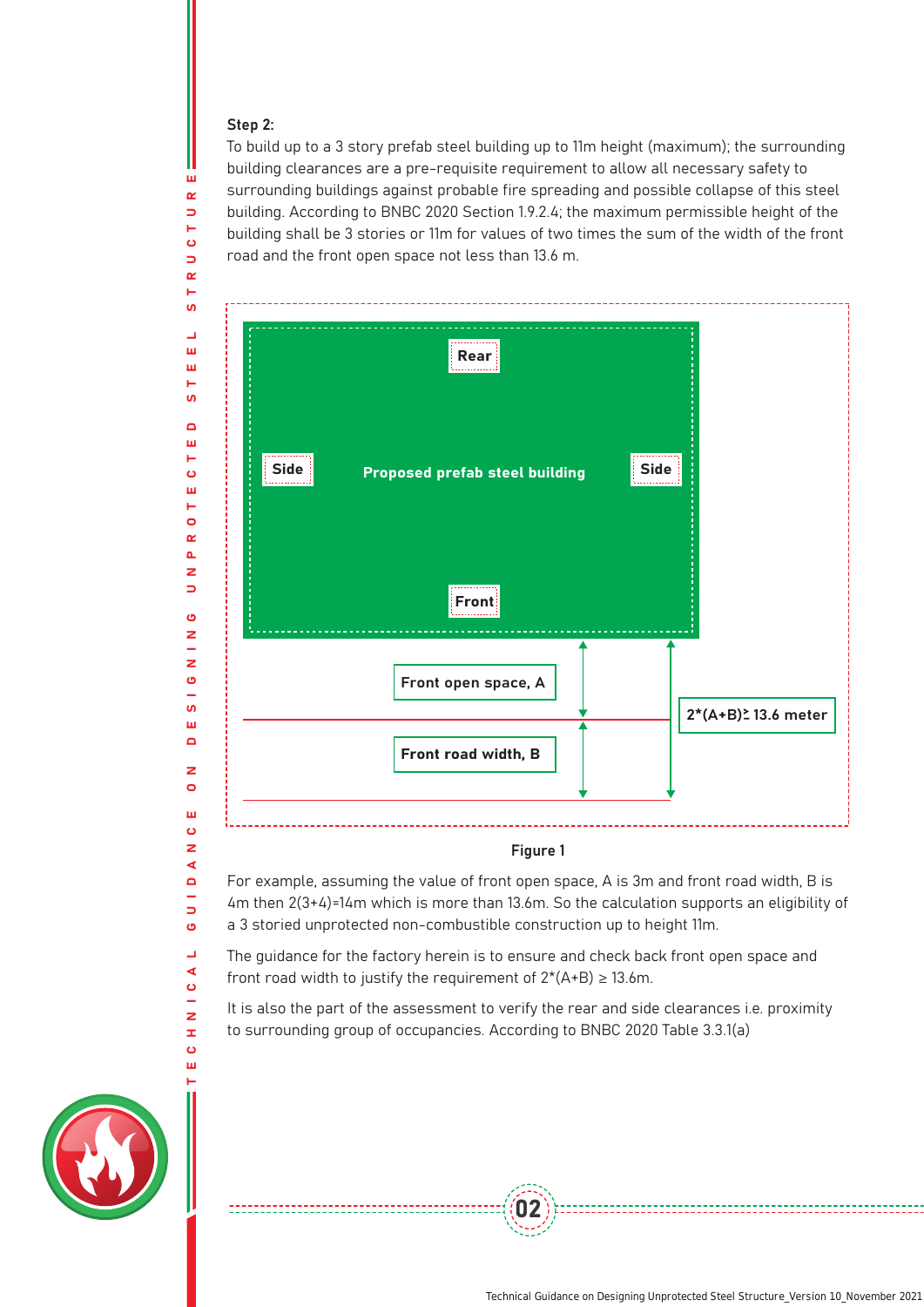### Step 2:

ш  $\alpha$  $\Rightarrow$  $\ddot{\mathbf{c}}$  $\Rightarrow$  $\sim$ 

 $\blacktriangleleft$  $\blacksquare$ L.  $\Rightarrow$  $\ddot{\mathbf{c}}$  $\overline{\phantom{a}}$ ◀  $\bullet$  $\overline{\phantom{a}}$  $\overline{z}$  $\mathbf{r}$  $\ddot{\mathbf{c}}$ m

To build up to a 3 story prefab steel building up to 11m height (maximum); the surrounding building clearances are a pre-requisite requirement to allow all necessary safety to surrounding buildings against probable fire spreading and possible collapse of this steel building. According to BNBC 2020 Section 1.9.2.4; the maximum permissible height of the building shall be 3 stories or 11m for values of two times the sum of the width of the front road and the front open space not less than 13.6 m.



### Figure 1

For example, assuming the value of front open space, A is 3m and front road width, B is 4m then 2(3+4)=14m which is more than 13.6m. So the calculation supports an eligibility of a 3 storied unprotected non-combustible construction up to height 11m.

The guidance for the factory herein is to ensure and check back front open space and front road width to justify the requirement of  $2*(A+B) \ge 13.6$ m.

It is also the part of the assessment to verify the rear and side clearances i.e. proximity to surrounding group of occupancies. According to BNBC 2020 Table 3.3.1(a)

02

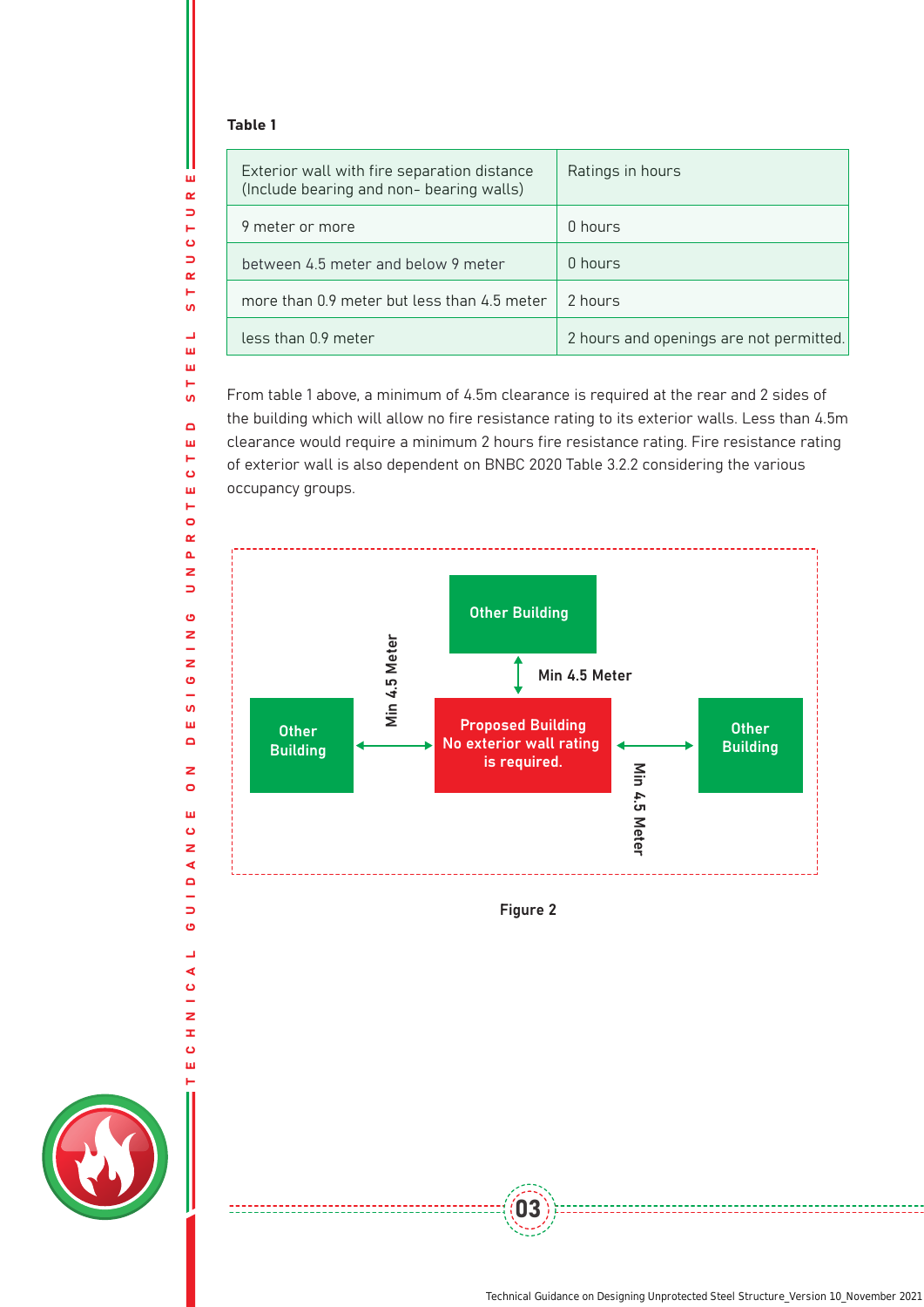### Table 1

ш  $\alpha$  $\Rightarrow$ н  $\bullet$  $\Rightarrow$  $\alpha$ Ē. **SV** L. ш ш H **u**  $\blacksquare$ ш  $\blacksquare$  $\ddot{\mathbf{c}}$ ш Н  $\bullet$  $\alpha$  $\Delta$  $\overline{z}$  $\Rightarrow$ O z

TECHNICAL GUIDANCE ON DESIGNING UNPROTECTED STEEL STRUCTURE

÷ z  $\ddot{\mathbf{c}}$  $\overline{\phantom{0}}$  $\mathbf{v}$ ш  $\blacksquare$ 

 $\mathbf{z}$  $\bullet$ ш  $\ddot{\mathbf{c}}$  $\mathbf{z}$  $\blacktriangleleft$  $\blacksquare$ L.  $\Rightarrow$ O  $\overline{\phantom{0}}$  $\blacktriangleleft$  $\ddot{\mathbf{o}}$ ÷,  $\overline{z}$  $\pm$  $\ddot{\mathbf{o}}$ ш

--------------------------

| Exterior wall with fire separation distance<br>(Include bearing and non- bearing walls) | Ratings in hours                        |
|-----------------------------------------------------------------------------------------|-----------------------------------------|
| 9 meter or more                                                                         | 0 hours                                 |
| between 4.5 meter and below 9 meter                                                     | 0 hours                                 |
| more than 0.9 meter but less than 4.5 meter                                             | 2 hours                                 |
| less than 0.9 meter                                                                     | 2 hours and openings are not permitted. |

From table 1 above, a minimum of 4.5m clearance is required at the rear and 2 sides of the building which will allow no fire resistance rating to its exterior walls. Less than 4.5m clearance would require a minimum 2 hours fire resistance rating. Fire resistance rating of exterior wall is also dependent on BNBC 2020 Table 3.2.2 considering the various occupancy groups.





 $(03)$ 

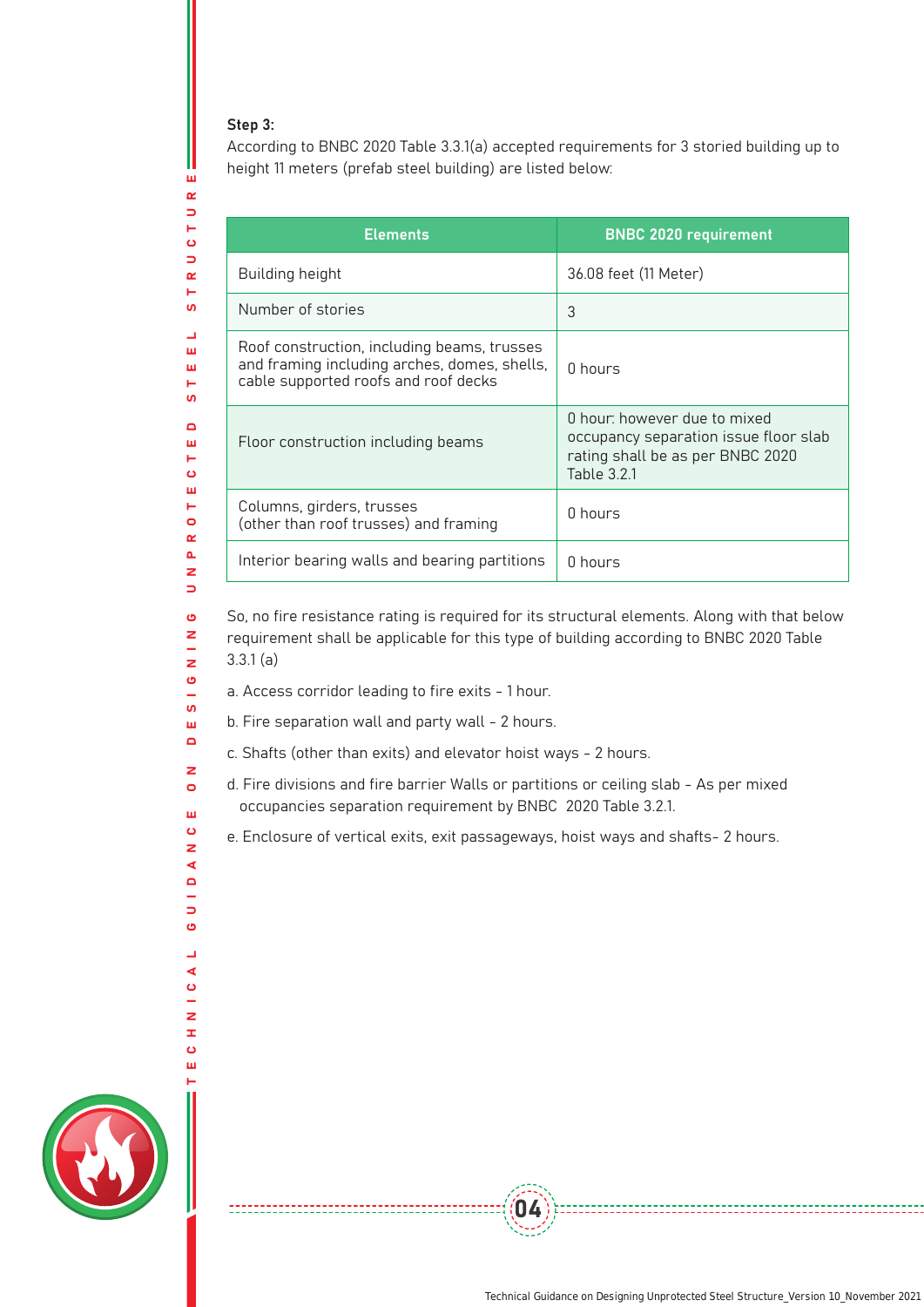## Step 3:

w,  $\alpha$  $\Rightarrow$ Н  $\ddot{\mathbf{O}}$  $\Rightarrow$  $\alpha$ Ē. **SV**  $\overline{\phantom{0}}$ ш ш Ē.  $\mathbf{u}$  $\Box$ ш **H**  $\ddot{\mathbf{c}}$ ш  $\leftarrow$  $\bullet$  $\alpha$  $\Delta$  $\overline{z}$  $\overline{\phantom{0}}$  $\mathbf{\Theta}$ z  $\equiv$  $\overline{z}$  $\ddot{\mathbf{c}}$  $\overline{\phantom{a}}$  $\mathbf{u}$ Ш  $\overline{\mathbf{a}}$  $\overline{\mathbf{z}}$  $\bullet$ ш  $\ddot{\mathbf{c}}$ z ∢  $\Box$  $\overline{\phantom{0}}$  $\Rightarrow$  $\ddot{\mathbf{c}}$  $\overline{\phantom{a}}$ ∢  $\bullet$ L.  $\overline{z}$  $\mathbf{r}$  $\ddot{\mathbf{o}}$ ш

TECHNICAL GUIDANCE ON DESIGNING UNPROTECTED STEEL STRUCTURE

According to BNBC 2020 Table 3.3.1(a) accepted requirements for 3 storied building up to height 11 meters (prefab steel building) are listed below:

| <b>Elements</b>                                                                                                                     | <b>BNBC 2020 requirement</b>                                                                                                    |
|-------------------------------------------------------------------------------------------------------------------------------------|---------------------------------------------------------------------------------------------------------------------------------|
| Building height                                                                                                                     | 36.08 feet (11 Meter)                                                                                                           |
| Number of stories                                                                                                                   | 3                                                                                                                               |
| Roof construction, including beams, trusses<br>and framing including arches, domes, shells,<br>cable supported roofs and roof decks | 0 hours                                                                                                                         |
| Floor construction including beams                                                                                                  | 0 hour: however due to mixed<br>occupancy separation issue floor slab<br>rating shall be as per BNBC 2020<br><b>Table 3.2.1</b> |
| Columns, girders, trusses<br>(other than roof trusses) and framing                                                                  | 0 hours                                                                                                                         |
| Interior bearing walls and bearing partitions                                                                                       | 0 hours                                                                                                                         |

So, no fire resistance rating is required for its structural elements. Along with that below requirement shall be applicable for this type of building according to BNBC 2020 Table 3.3.1 (a)

- a. Access corridor leading to fire exits 1 hour.
- b. Fire separation wall and party wall 2 hours.

-------------------------

- c. Shafts (other than exits) and elevator hoist ways 2 hours.
- d. Fire divisions and fire barrier Walls or partitions or ceiling slab As per mixed occupancies separation requirement by BNBC 2020 Table 3.2.1.

e. Enclosure of vertical exits, exit passageways, hoist ways and shafts- 2 hours.

04

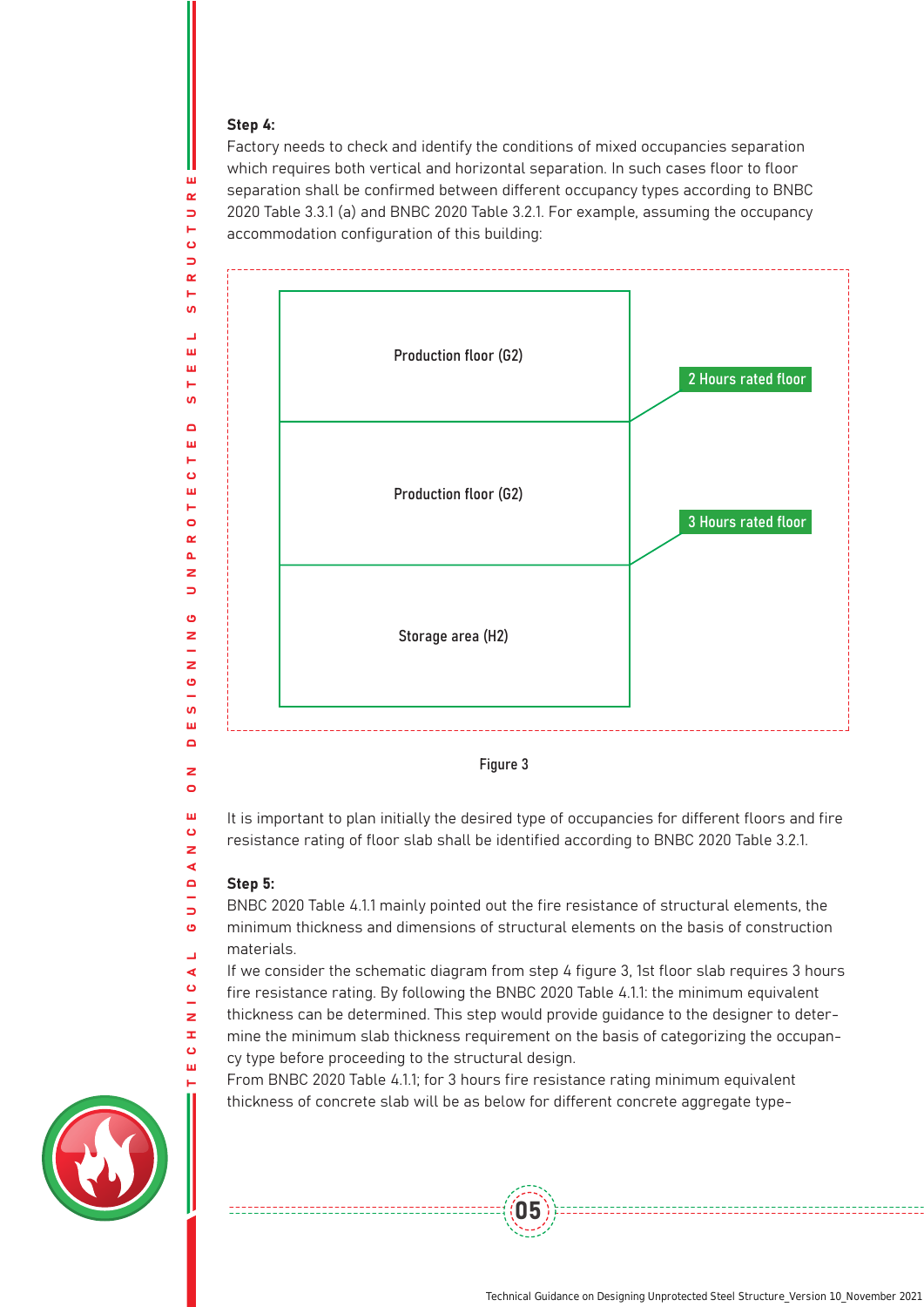#### Step 4:

ш  $\alpha$  $\Rightarrow$ 

Factory needs to check and identify the conditions of mixed occupancies separation which requires both vertical and horizontal separation. In such cases floor to floor separation shall be confirmed between different occupancy types according to BNBC 2020 Table 3.3.1 (a) and BNBC 2020 Table 3.2.1. For example, assuming the occupancy accommodation configuration of this building:



It is important to plan initially the desired type of occupancies for different floors and fire resistance rating of floor slab shall be identified according to BNBC 2020 Table 3.2.1.

#### Step 5:

---------------------------

 $\circ$ ш  $\sigma$  $\overline{\mathbf{z}}$ ∢  $\blacksquare$  $\Rightarrow$  $\ddot{\mathbf{c}}$  $\overline{a}$ ∢  $\ddot{\mathbf{c}}$  $\overline{z}$  $\pm$  $\ddot{\mathbf{c}}$ ш

BNBC 2020 Table 4.1.1 mainly pointed out the fire resistance of structural elements, the minimum thickness and dimensions of structural elements on the basis of construction materials.

If we consider the schematic diagram from step 4 figure 3, 1st floor slab requires 3 hours

- fire resistance rating. By following the BNBC 2020 Table 4.1.1: the minimum equivalent thickness can be determined. This step would provide guidance to the designer to deter-
- mine the minimum slab thickness requirement on the basis of categorizing the occupan-

05

cy type before proceeding to the structural design.

From BNBC 2020 Table 4.1.1; for 3 hours fire resistance rating minimum equivalent thickness of concrete slab will be as below for different concrete aggregate type-

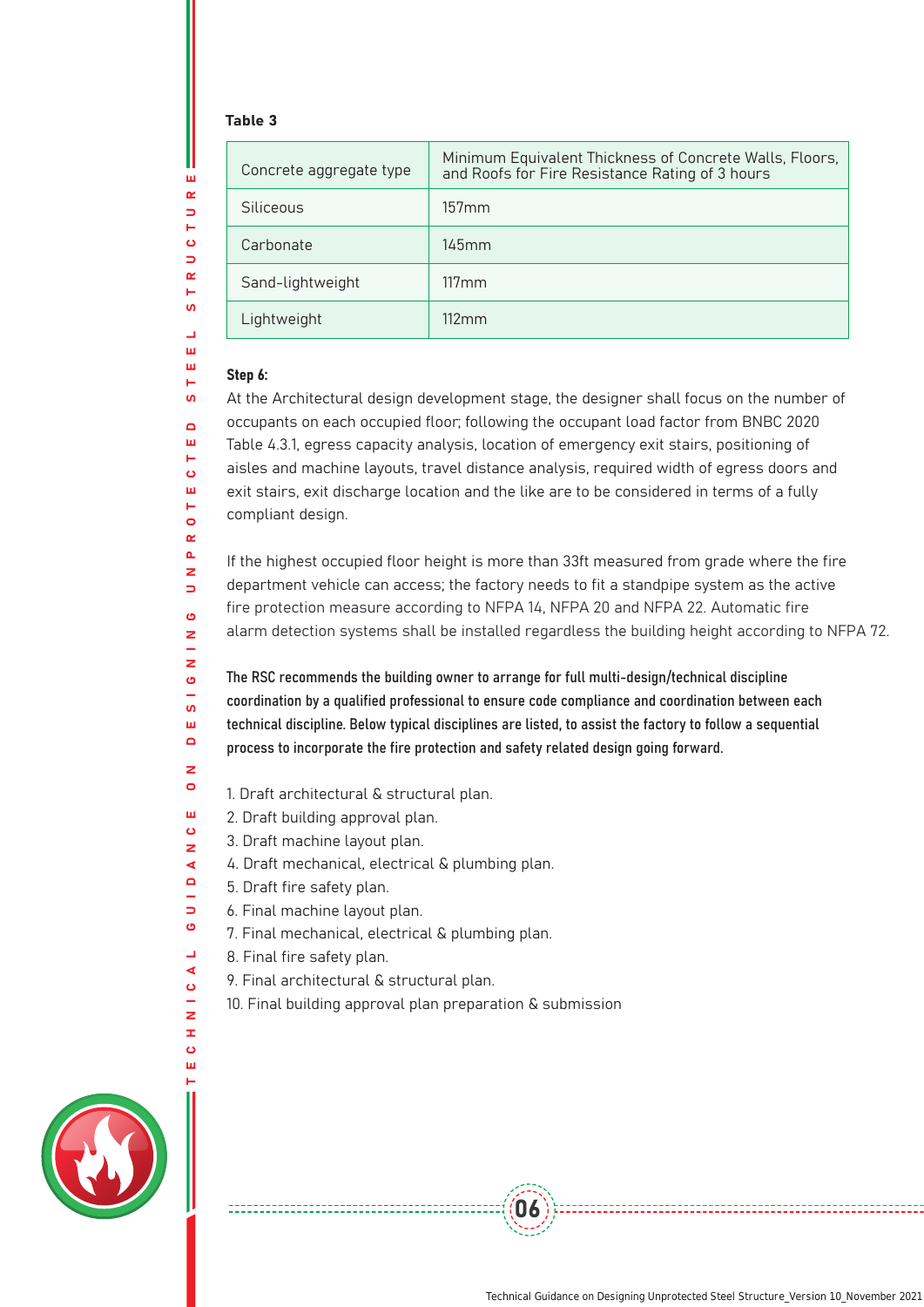## Table 3

| Concrete aggregate type | Minimum Equivalent Thickness of Concrete Walls, Floors,<br>and Roofs for Fire Resistance Rating of 3 hours |
|-------------------------|------------------------------------------------------------------------------------------------------------|
| Siliceous               | $157$ mm                                                                                                   |
| Carbonate               | $145$ mm                                                                                                   |
| Sand-lightweight        | $117 \,\mathrm{mm}$                                                                                        |
| Lightweight             | $112 \,\mathrm{mm}$                                                                                        |

## Step 6:

At the Architectural design development stage, the designer shall focus on the number of occupants on each occupied floor; following the occupant load factor from BNBC 2020 Table 4.3.1, egress capacity analysis, location of emergency exit stairs, positioning of aisles and machine layouts, travel distance analysis, required width of egress doors and exit stairs, exit discharge location and the like are to be considered in terms of a fully compliant design.

If the highest occupied floor height is more than 33ft measured from grade where the fire department vehicle can access; the factory needs to fit a standpipe system as the active fire protection measure according to NFPA 14, NFPA 20 and NFPA 22. Automatic fire alarm detection systems shall be installed regardless the building height according to NFPA 72.

The RSC recommends the building owner to arrange for full multi-design/technical discipline coordination by a qualified professional to ensure code compliance and coordination between each technical discipline. Below typical disciplines are listed, to assist the factory to follow a sequential process to incorporate the fire protection and safety related design going forward.

06

- 1. Draft architectural & structural plan.
- ш 2. Draft building approval plan.
- $\ddot{\mathbf{c}}$ 3. Draft machine layout plan.  $\overline{z}$ 
	- 4. Draft mechanical, electrical & plumbing plan.
- $\Box$ 5. Draft fire safety plan.
	- 6. Final machine layout plan.
	- 7. Final mechanical, electrical & plumbing plan.
	- 8. Final fire safety plan.
	- 9. Final architectural & structural plan.
	- 10. Final building approval plan preparation & submission



 $\overline{z}$  $\Rightarrow$  $\sigma$ z  $\mathbf{z}$  $\ddot{\mathbf{c}}$  $\mathbf{u}$ ш  $\Box$ z  $\bullet$ 

 $\blacktriangleleft$ 

 $\Rightarrow$  $\ddot{\mathbf{c}}$  $\overline{\phantom{a}}$  $\blacktriangleleft$  $\mathbf \, \mathbf \,$ L.  $\overline{z}$  $\pm$  $\ddot{\mathbf{o}}$ m

Ш  $\alpha$